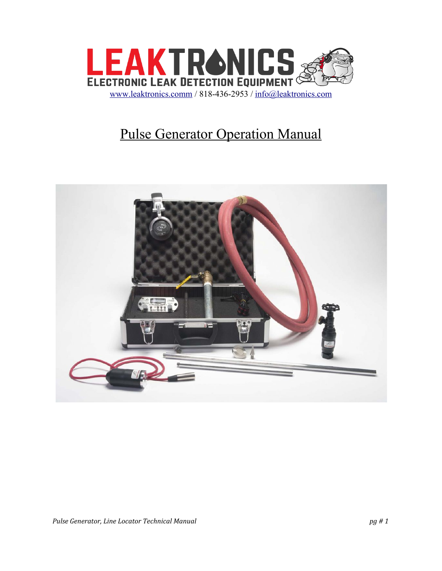

## Pulse Generator Operation Manual

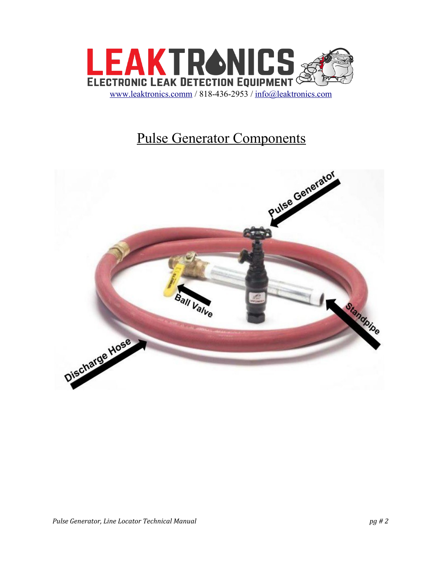

## Pulse Generator Components

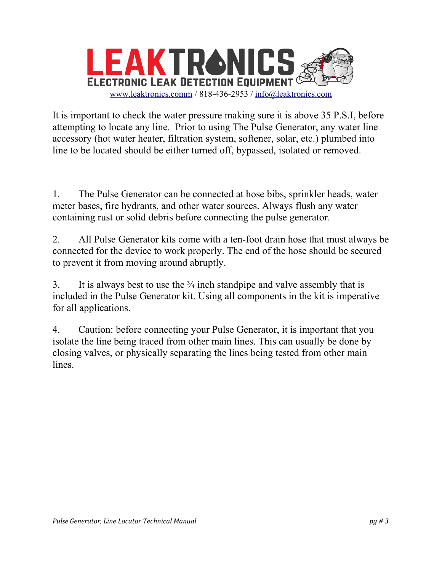

It is important to check the water pressure making sure it is above 35 P.S.I, before attempting to locate any line. Prior to using The Pulse Generator, any water line accessory (hot water heater, filtration system, softener, solar, etc.) plumbed into line to be located should be either turned off, bypassed, isolated or removed.

1. The Pulse Generator can be connected at hose bibs, sprinkler heads, water meter bases, fire hydrants, and other water sources. Always flush any water containing rust or solid debris before connecting the pulse generator.

2. All Pulse Generator kits come with a ten-foot drain hose that must always be connected for the device to work properly. The end of the hose should be secured to prevent it from moving around abruptly.

3. It is always best to use the  $\frac{3}{4}$  inch standpipe and valve assembly that is included in the Pulse Generator kit. Using all components in the kit is imperative for all applications.

4. Caution: before connecting your Pulse Generator, it is important that you isolate the line being traced from other main lines. This can usually be done by closing valves, or physically separating the lines being tested from other main lines.